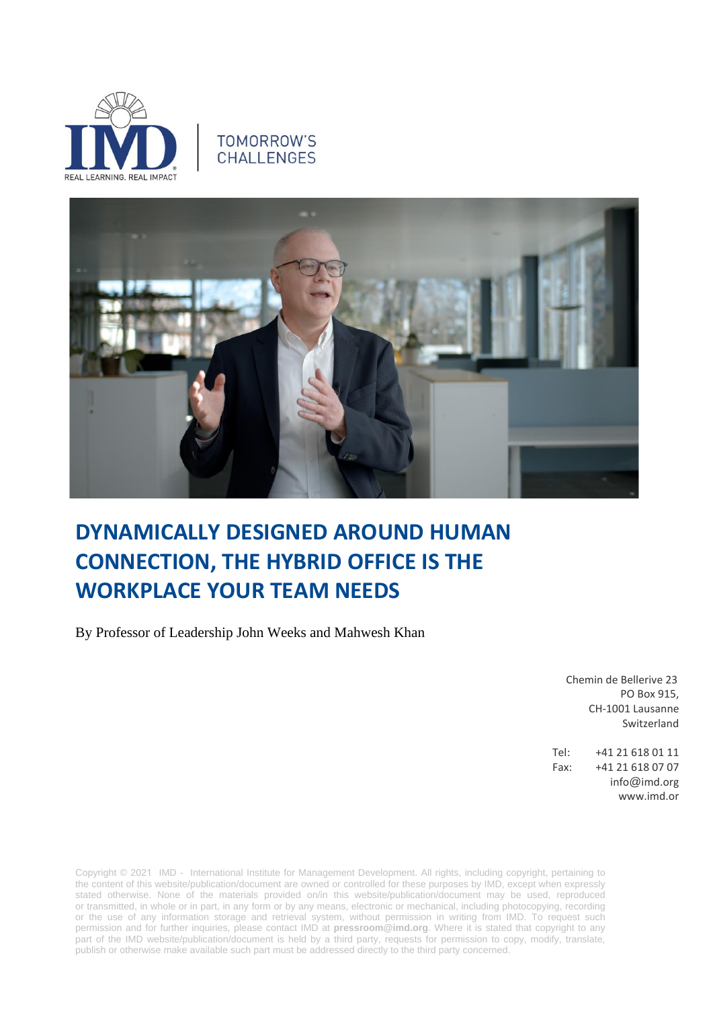

## TOMORROW'S **CHALLENGES**



## **DYNAMICALLY DESIGNED AROUND HUMAN CONNECTION, THE HYBRID OFFICE IS THE WORKPLACE YOUR TEAM NEEDS**

By Professor of Leadership John Weeks and Mahwesh Khan

Chemin de Bellerive 23 PO Box 915, CH-1001 Lausanne Switzerland

Tel: +41 21 618 01 11 Fax: +41 21 618 07 07 info@imd.org www.imd.or

Copyright © 2021 IMD - International Institute for Management Development. All rights, including copyright, pertaining to the content of this website/publication/document are owned or controlled for these purposes by IMD, except when expressly stated otherwise. None of the materials provided on/in this website/publication/document may be used, reproduced or transmitted, in whole or in part, in any form or by any means, electronic or mechanical, including photocopying, recording or the use of any information storage and retrieval system, without permission in writing from IMD. To request such permission and for further inquiries, please contact IMD at **[pressroom@imd.org](mailto:pressroom@imd.org)**. Where it is stated that copyright to any part of the IMD website/publication/document is held by a third party, requests for permission to copy, modify, translate, publish or otherwise make available such part must be addressed directly to the third party concerned.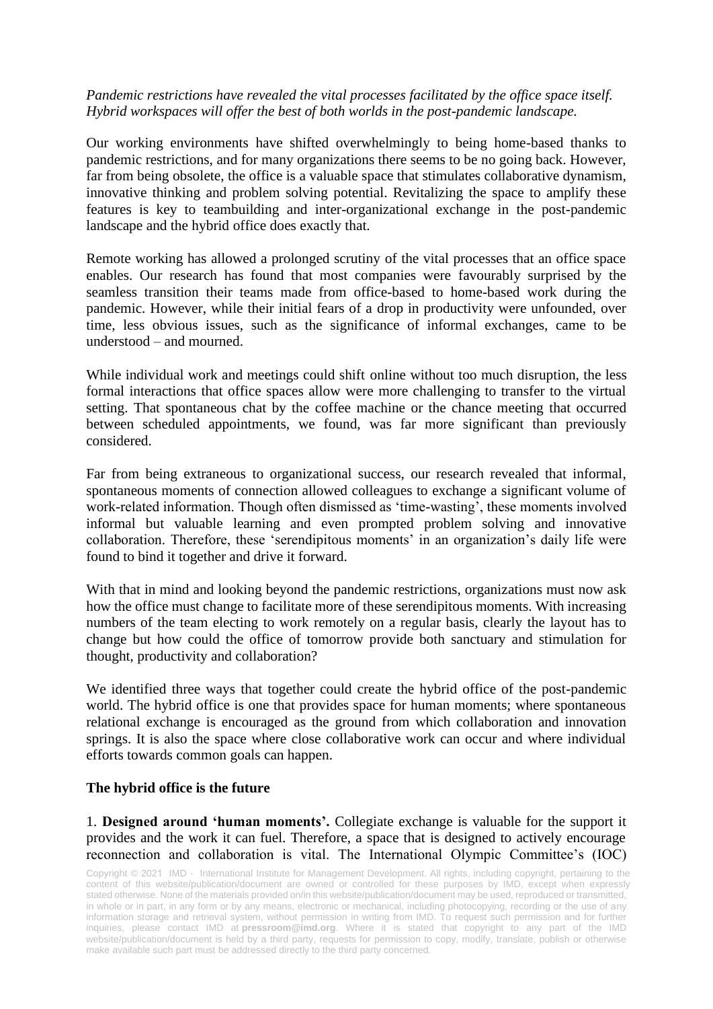## *Pandemic restrictions have revealed the vital processes facilitated by the office space itself. Hybrid workspaces will offer the best of both worlds in the post-pandemic landscape.*

Our working environments have shifted overwhelmingly to being home-based thanks to pandemic restrictions, and for many organizations there seems to be no going back. However, far from being obsolete, the office is a valuable space that stimulates collaborative dynamism, innovative thinking and problem solving potential. Revitalizing the space to amplify these features is key to teambuilding and inter-organizational exchange in the post-pandemic landscape and the hybrid office does exactly that.

Remote working has allowed a prolonged scrutiny of the vital processes that an office space enables. Our research has found that most companies were favourably surprised by the seamless transition their teams made from office-based to home-based work during the pandemic. However, while their initial fears of a drop in productivity were unfounded, over time, less obvious issues, such as the significance of informal exchanges, came to be understood – and mourned.

While individual work and meetings could shift online without too much disruption, the less formal interactions that office spaces allow were more challenging to transfer to the virtual setting. That spontaneous chat by the coffee machine or the chance meeting that occurred between scheduled appointments, we found, was far more significant than previously considered.

Far from being extraneous to organizational success, our research revealed that informal, spontaneous moments of connection allowed colleagues to exchange a significant volume of work-related information. Though often dismissed as 'time-wasting', these moments involved informal but valuable learning and even prompted problem solving and innovative collaboration. Therefore, these 'serendipitous moments' in an organization's daily life were found to bind it together and drive it forward.

With that in mind and looking beyond the pandemic restrictions, organizations must now ask how the office must change to facilitate more of these serendipitous moments. With increasing numbers of the team electing to work remotely on a regular basis, clearly the layout has to change but how could the office of tomorrow provide both sanctuary and stimulation for thought, productivity and collaboration?

We identified three ways that together could create the hybrid office of the post-pandemic world. The hybrid office is one that provides space for human moments; where spontaneous relational exchange is encouraged as the ground from which collaboration and innovation springs. It is also the space where close collaborative work can occur and where individual efforts towards common goals can happen.

## **The hybrid office is the future**

1. **Designed around 'human moments'.** Collegiate exchange is valuable for the support it provides and the work it can fuel. Therefore, a space that is designed to actively encourage reconnection and collaboration is vital. The International Olympic Committee's (IOC)

Copyright © 2021 IMD - International Institute for Management Development. All rights, including copyright, pertaining to the content of this website/publication/document are owned or controlled for these purposes by IMD, except when expressly stated otherwise. None of the materials provided on/in this website/publication/document may be used, reproduced or transmitted, in whole or in part, in any form or by any means, electronic or mechanical, including photocopying, recording or the use of any information storage and retrieval system, without permission in writing from IMD. To request such permission and for further inquiries, please contact IMD at **[pressroom@imd.org](mailto:pressroom@imd.org)**. Where it is stated that copyright to any part of the IMD website/publication/document is held by a third party, requests for permission to copy, modify, translate, publish or otherwise make available such part must be addressed directly to the third party concerned.